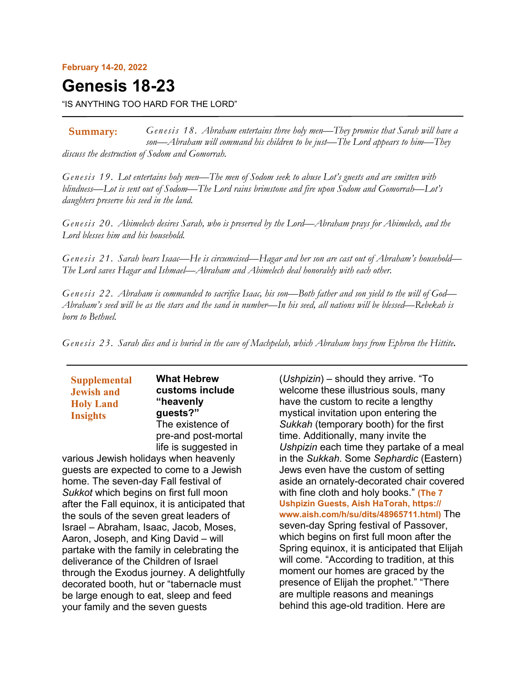#### **February 14-20, 2022**

# **Genesis 18-23**

"IS ANYTHING TOO HARD FOR THE LORD"

*Genesis 18. Abraham entertains three holy men—They promise that Sarah will have a son—Abraham will command his children to be just—The Lord appears to him—They discuss the destruction of Sodom and Gomorrah.* **Summary:**

*Genesis 19. Lot entertains holy men—The men of Sodom seek to abuse Lot's guests and are smitten with blindness—Lot is sent out of Sodom—The Lord rains brimstone and fire upon Sodom and Gomorrah—Lot's daughters preserve his seed in the land.*

*Genesis 20. Abimelech desires Sarah, who is preserved by the Lord—Abraham prays for Abimelech, and the Lord blesses him and his household.*

*Genesis 21. Sarah bears Isaac—He is circumcised—Hagar and her son are cast out of Abraham's household— The Lord saves Hagar and Ishmael—Abraham and Abimelech deal honorably with each other.*

*Genesis 22. Abraham is commanded to sacrifice Isaac, his son—Both father and son yield to the will of God— Abraham's seed will be as the stars and the sand in number—In his seed, all nations will be blessed—Rebekah is born to Bethuel.*

*Genesis 23. Sarah dies and is buried in the cave of Machpelah, which Abraham buys from Ephron the Hittite.*

**What Hebrew customs include "heavenly guests?"** The existence of pre-and post-mortal **Supplemental Jewish and Holy Land Insights**

life is suggested in various Jewish holidays when heavenly guests are expected to come to a Jewish home. The seven-day Fall festival of *Sukkot* which begins on first full moon after the Fall equinox, it is anticipated that the souls of the seven great leaders of Israel – Abraham, Isaac, Jacob, Moses, Aaron, Joseph, and King David – will partake with the family in celebrating the deliverance of the Children of Israel through the Exodus journey. A delightfully decorated booth, hut or "tabernacle must be large enough to eat, sleep and feed your family and the seven guests

(*Ushpizin*) – should they arrive. "To welcome these illustrious souls, many have the custom to recite a lengthy mystical invitation upon entering the *Sukkah* (temporary booth) for the first time. Additionally, many invite the *Ushpizin* each time they partake of a meal in the *Sukkah*. Some *Sephardic* (Eastern) Jews even have the custom of setting aside an ornately-decorated chair covered with fine cloth and holy books." **(The 7 Ushpizin Guests, Aish HaTorah, https:// www.aish.com/h/su/dits/48965711.html)** The seven-day Spring festival of Passover, which begins on first full moon after the Spring equinox, it is anticipated that Elijah will come. "According to tradition, at this moment our homes are graced by the presence of Elijah the prophet." "There are multiple reasons and meanings behind this age-old tradition. Here are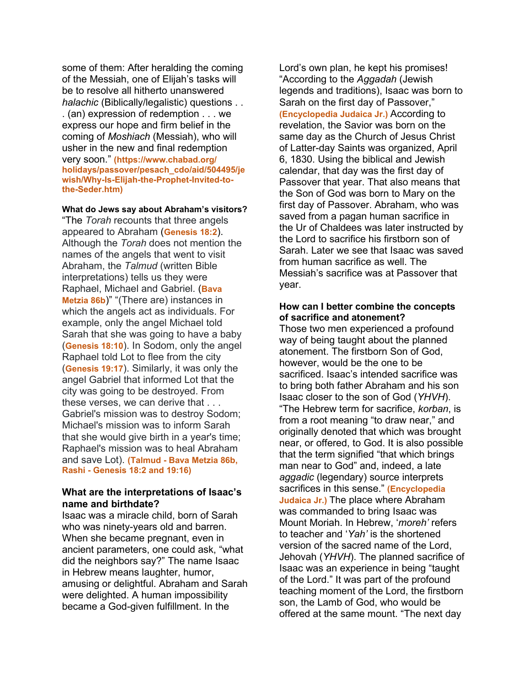some of them: After heralding the coming of the Messiah, one of Elijah's tasks will be to resolve all hitherto unanswered *halachic* (Biblically/legalistic) questions . . . (an) expression of redemption . . . we express our hope and firm belief in the coming of *[Moshiach](https://www.chabad.org/library/article_cdo/aid/332562/jewish/Moshiach-101.htm)* (Messiah), who will usher in the new and final redemption very soon." **(https://www.chabad.org/ holidays/passover/pesach\_cdo/aid/504495/je wish/Why-Is-Elijah-the-Prophet-Invited-tothe-Seder.htm)**

**What do Jews say about Abraham's visitors?** "The *Torah* recounts that three angels appeared to Abraham (**Genesis 18:2**). Although the *Torah* does not mention the names of the angels that went to visit Abraham, the *Talmud* (written Bible interpretations) tells us they were Raphael, Michael and Gabriel. (**Bava Metzia 86b**)" "(There are) instances in which the angels act as individuals. For example, only the angel Michael told Sarah that she was going to have a baby (**Genesis 18:10**). In Sodom, only the angel Raphael told Lot to flee from the city (**Genesis 19:17**). Similarly, it was only the angel Gabriel that informed Lot that the city was going to be destroyed. From these verses, we can derive that . . . Gabriel's mission was to destroy Sodom; Michael's mission was to inform Sarah that she would give birth in a year's time; Raphael's mission was to heal Abraham and save Lot). **(Talmud - Bava Metzia 86b, Rashi - Genesis 18:2 and 19:16)**

### **What are the interpretations of Isaac's name and birthdate?**

Isaac was a miracle child, born of Sarah who was ninety-years old and barren. When she became pregnant, even in ancient parameters, one could ask, "what did the neighbors say?" The name Isaac in Hebrew means laughter, humor, amusing or delightful. Abraham and Sarah were delighted. A human impossibility became a God-given fulfillment. In the

Lord's own plan, he kept his promises! "According to the *Aggadah* (Jewish legends and traditions), Isaac was born to Sarah on the first day of Passover," **(Encyclopedia Judaica Jr.)** According to revelation, the Savior was born on the same day as the Church of Jesus Christ of Latter-day Saints was organized, April 6, 1830. Using the biblical and Jewish calendar, that day was the first day of Passover that year. That also means that the Son of God was born to Mary on the first day of Passover. Abraham, who was saved from a pagan human sacrifice in the Ur of Chaldees was later instructed by the Lord to sacrifice his firstborn son of Sarah. Later we see that Isaac was saved from human sacrifice as well. The Messiah's sacrifice was at Passover that year.

## **How can I better combine the concepts of sacrifice and atonement?**

Those two men experienced a profound way of being taught about the planned atonement. The firstborn Son of God, however, would be the one to be sacrificed. Isaac's intended sacrifice was to bring both father Abraham and his son Isaac closer to the son of God (*YHVH*). "The Hebrew term for sacrifice, *korban*, is from a root meaning "to draw near," and originally denoted that which was brought near, or offered, to God. It is also possible that the term signified "that which brings man near to God" and, indeed, a late *aggadic* (legendary) source interprets sacrifices in this sense." **(Encyclopedia Judaica Jr.)** The place where Abraham was commanded to bring Isaac was Mount Moriah. In Hebrew, '*moreh'* refers to teacher and '*Yah'* is the shortened version of the sacred name of the Lord, Jehovah (*YHVH*). The planned sacrifice of Isaac was an experience in being "taught of the Lord." It was part of the profound teaching moment of the Lord, the firstborn son, the Lamb of God, who would be offered at the same mount. "The next day